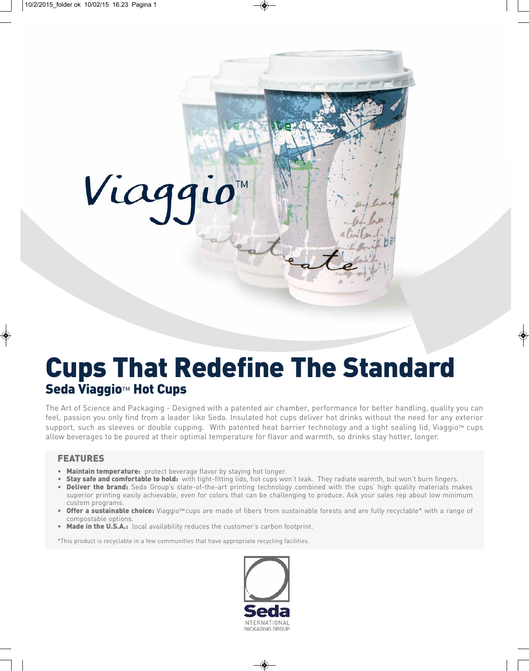# Viaggio

## Cups That Redefine The Standard Seda Viaggio™ Hot Cups

The Art of Science and Packaging - Designed with a patented air chamber, performance for better handling, quality you can feel, passion you only find from a leader like Seda. Insulated hot cups deliver hot drinks without the need for any exterior support, such as sleeves or double cupping. With patented heat barrier technology and a tight sealing lid, Viaggio™ cups allow beverages to be poured at their optimal temperature for flavor and warmth, so drinks stay hotter, longer.

#### FEATURES

- Maintain temperature: protect beverage flavor by staying hot longer.
- Stay safe and comfortable to hold: with tight-fitting lids, hot cups won't leak. They radiate warmth, but won't burn fingers.
- Deliver the brand: Seda Group's state-of-the-art printing technology combined with the cups' high quality materials makes superior printing easily achievable, even for colors that can be challenging to produce. Ask your sales rep about low minimum custom programs.
- **Offer a sustainable choice:** Viaggio™cups are made of fibers from sustainable forests and are fully recyclable\* with a range of compostable options.
- Made in the U.S.A.: local availability reduces the customer's carbon footprint.

\*This product is recyclable in a few communities that have appropriate recycling facilities.